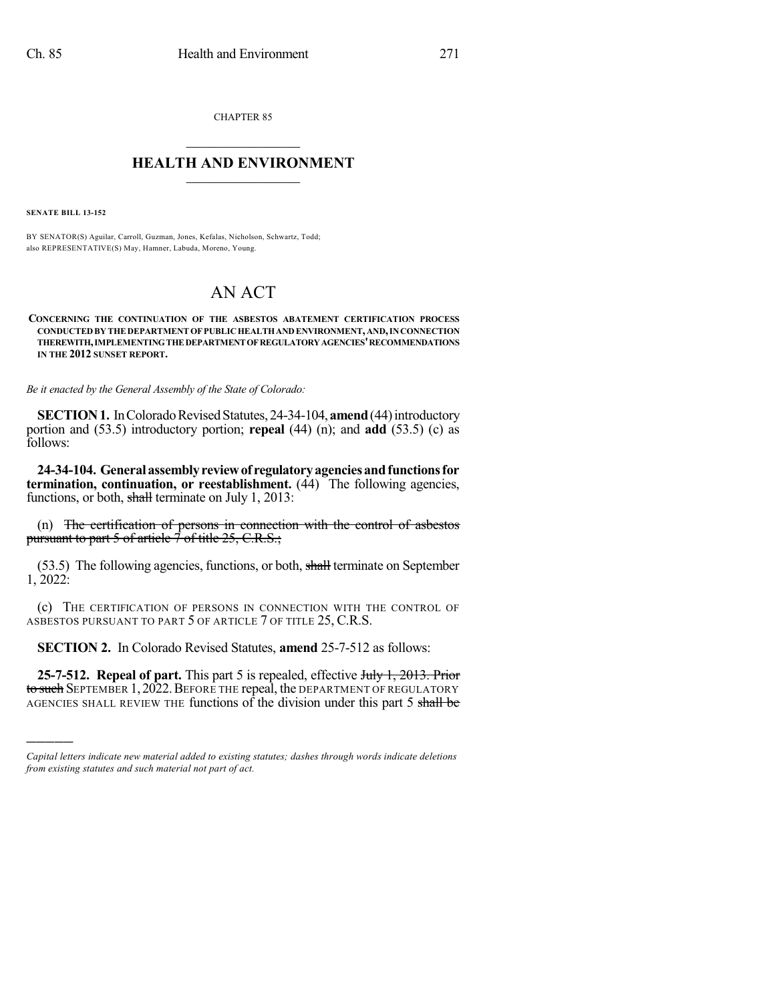CHAPTER 85

## $\overline{\phantom{a}}$  . The set of the set of the set of the set of the set of the set of the set of the set of the set of the set of the set of the set of the set of the set of the set of the set of the set of the set of the set o **HEALTH AND ENVIRONMENT**  $\_$

**SENATE BILL 13-152**

)))))

BY SENATOR(S) Aguilar, Carroll, Guzman, Jones, Kefalas, Nicholson, Schwartz, Todd; also REPRESENTATIVE(S) May, Hamner, Labuda, Moreno, Young.

## AN ACT

## **CONCERNING THE CONTINUATION OF THE ASBESTOS ABATEMENT CERTIFICATION PROCESS CONDUCTEDBY THE DEPARTMENT OF PUBLICHEALTHANDENVIRONMENT,AND,INCONNECTION THEREWITH,IMPLEMENTINGTHE DEPARTMENTOFREGULATORYAGENCIES'RECOMMENDATIONS IN THE 2012 SUNSET REPORT.**

*Be it enacted by the General Assembly of the State of Colorado:*

**SECTION 1.** In Colorado Revised Statutes, 24-34-104, **amend** (44) introductory portion and (53.5) introductory portion; **repeal** (44) (n); and **add** (53.5) (c) as follows:

**24-34-104. Generalassemblyreviewof regulatoryagenciesandfunctionsfor termination, continuation, or reestablishment.** (44) The following agencies, functions, or both, shall terminate on July 1, 2013:

(n) The certification of persons in connection with the control of asbestos pursuant to part 5 of article  $\overline{7}$  of title 25, C.R.S.;

(53.5) The following agencies, functions, or both, shall terminate on September 1, 2022:

(c) THE CERTIFICATION OF PERSONS IN CONNECTION WITH THE CONTROL OF ASBESTOS PURSUANT TO PART 5 OF ARTICLE 7 OF TITLE 25, C.R.S.

**SECTION 2.** In Colorado Revised Statutes, **amend** 25-7-512 as follows:

**25-7-512. Repeal of part.** This part 5 is repealed, effective July 1, 2013. Prior to such SEPTEMBER 1, 2022. BEFORE THE repeal, the DEPARTMENT OF REGULATORY AGENCIES SHALL REVIEW THE functions of the division under this part 5 shall be

*Capital letters indicate new material added to existing statutes; dashes through words indicate deletions from existing statutes and such material not part of act.*